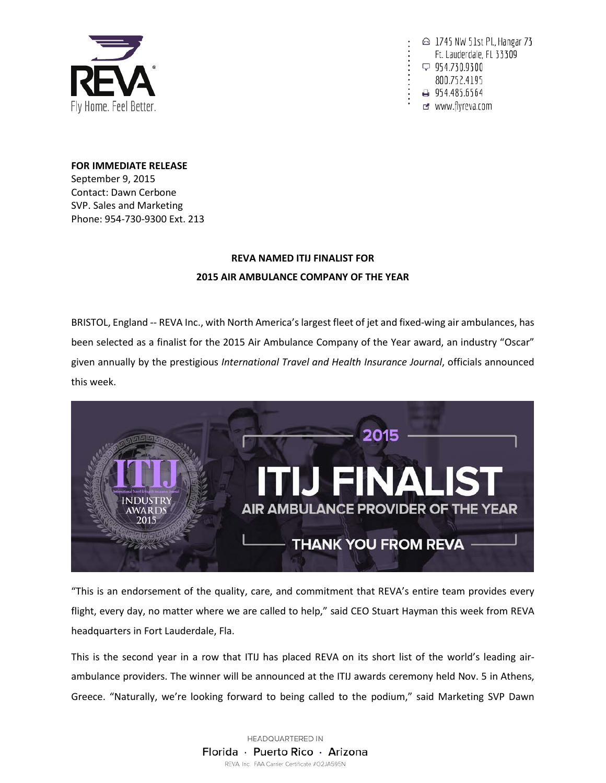

△ 1745 NW 51st Pl., Hangar 73 Ft. Lauderdale, FL 33309 □ 954.730.9300 800.752.4195 954.485.6564 or www.flyreva.com

**FOR IMMEDIATE RELEASE** September 9, 2015 Contact: Dawn Cerbone SVP. Sales and Marketing Phone: 954-730-9300 Ext. 213

## **REVA NAMED ITIJ FINALIST FOR 2015 AIR AMBULANCE COMPANY OF THE YEAR**

BRISTOL, England -- REVA Inc., with North America's largest fleet of jet and fixed-wing air ambulances, has been selected as a finalist for the 2015 Air Ambulance Company of the Year award, an industry "Oscar" given annually by the prestigious *International Travel and Health Insurance Journal*, officials announced this week.



"This is an endorsement of the quality, care, and commitment that REVA's entire team provides every flight, every day, no matter where we are called to help," said CEO Stuart Hayman this week from REVA headquarters in Fort Lauderdale, Fla.

This is the second year in a row that ITIJ has placed REVA on its short list of the world's leading airambulance providers. The winner will be announced at the ITIJ awards ceremony held Nov. 5 in Athens, Greece. "Naturally, we're looking forward to being called to the podium," said Marketing SVP Dawn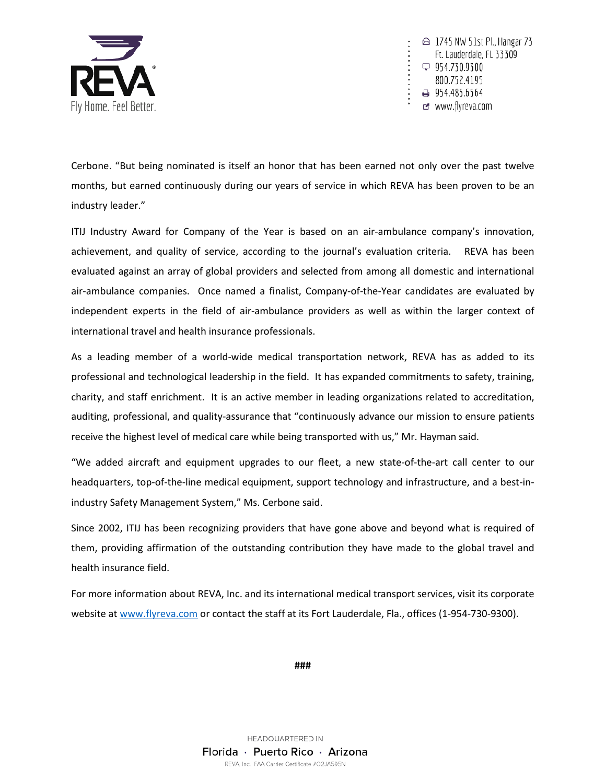

 $\odot$  1745 NW 51st Pl., Hangar 73 Ft. Lauderdale, FL 33309  $\varphi$  954.730.9300 800.752.4195 → 954.485.6564 or www.flyreva.com

Cerbone. "But being nominated is itself an honor that has been earned not only over the past twelve months, but earned continuously during our years of service in which REVA has been proven to be an industry leader."

ITIJ Industry Award for Company of the Year is based on an air-ambulance company's innovation, achievement, and quality of service, according to the journal's evaluation criteria. REVA has been evaluated against an array of global providers and selected from among all domestic and international air-ambulance companies. Once named a finalist, Company-of-the-Year candidates are evaluated by independent experts in the field of air-ambulance providers as well as within the larger context of international travel and health insurance professionals.

As a leading member of a world-wide medical transportation network, REVA has as added to its professional and technological leadership in the field. It has expanded commitments to safety, training, charity, and staff enrichment. It is an active member in leading organizations related to accreditation, auditing, professional, and quality-assurance that "continuously advance our mission to ensure patients receive the highest level of medical care while being transported with us," Mr. Hayman said.

"We added aircraft and equipment upgrades to our fleet, a new state-of-the-art call center to our headquarters, top-of-the-line medical equipment, support technology and infrastructure, and a best-inindustry Safety Management System," Ms. Cerbone said.

Since 2002, ITIJ has been recognizing providers that have gone above and beyond what is required of them, providing affirmation of the outstanding contribution they have made to the global travel and health insurance field.

For more information about REVA, Inc. and its international medical transport services, visit its corporate website at [www.flyreva.com](http://www.flyreva.com/) or contact the staff at its Fort Lauderdale, Fla., offices (1-954-730-9300).

**###**

HEADQUARTERED IN Florida · Puerto Rico · Arizona REVA, Inc. FAA Carrier Certificate #O2JA595N